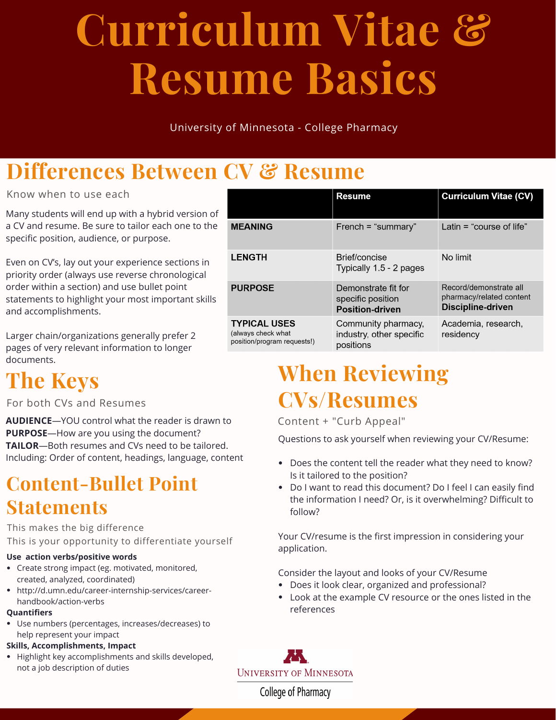# **Curriculum Vitae & Resume Basics**

University of Minnesota - College Pharmacy

## **Differences Between CV & Resume**

#### Know when to use each

Many students will end up with a hybrid version of a CV and resume. Be sure to tailor each one to the specific position, audience, or purpose.

Even on CV's, lay out your experience sections in priority order (always use reverse chronological order within a section) and use bullet point statements to highlight your most important skills and accomplishments.

Larger chain/organizations generally prefer 2 pages of very relevant information to longer

## **The Keys**

#### For both CVs and Resumes

**AUDIENCE**—YOU control what the reader is drawn to **PURPOSE**—How are you using the document? **TAILOR**—Both resumes and CVs need to be tailored. Including: Order of content, headings, language, content

### **Content-Bullet Point Statements**

This makes the big difference

This is your opportunity to differentiate yourself

#### **Use action verbs/positive words**

- Create strong impact (eg. motivated, monitored, created, analyzed, coordinated)
- http://d.umn.edu/career-internship-services/careerhandbook/action-verbs

#### **Quantifiers**

Use numbers (percentages, increases/decreases) to help represent your impact

#### **Skills, Accomplishments, Impact**

Highlight key accomplishments and skills developed, not a job description of duties

|                                                                          | <b>Resume</b>                                                      | <b>Curriculum Vitae (CV)</b>                                            |
|--------------------------------------------------------------------------|--------------------------------------------------------------------|-------------------------------------------------------------------------|
| <b>MEANING</b>                                                           | French = "summary"                                                 | Latin $=$ "course of life"                                              |
| <b>LENGTH</b>                                                            | Brief/concise<br>Typically 1.5 - 2 pages                           | No limit                                                                |
| <b>PURPOSE</b>                                                           | Demonstrate fit for<br>specific position<br><b>Position-driven</b> | Record/demonstrate all<br>pharmacy/related content<br>Discipline-driven |
| <b>TYPICAL USES</b><br>(always check what<br>position/program requests!) | Community pharmacy,<br>industry, other specific<br>positions       | Academia, research,<br>residency                                        |

## documents.<br> **The Keys** When Reviewing **CVs/Resumes**

Content + "Curb Appeal"

Questions to ask yourself when reviewing your CV/Resume:

- Does the content tell the reader what they need to know? Is it tailored to the position?
- Do I want to read this document? Do I feel I can easily find the information I need? Or, is it overwhelming? Difficult to follow?

Your CV/resume is the first impression in considering your application.

Consider the layout and looks of your CV/Resume

- Does it look clear, organized and professional?
- Look at the example CV resource or the ones listed in the references



College of Pharmacy